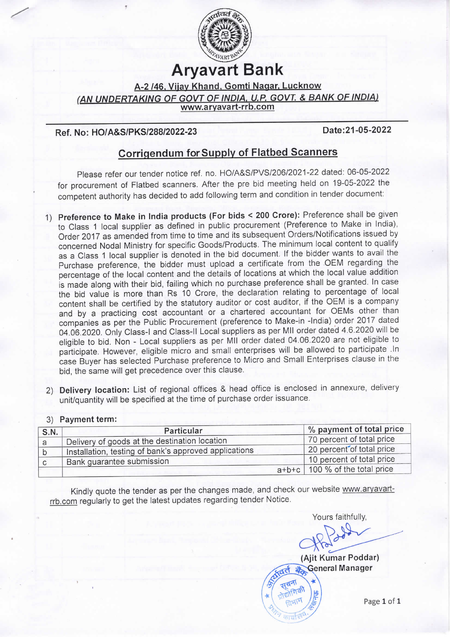

# Aryavart Bank

A-2 /46. Viiay Khand. Gomti Naqar. Lucknow

(AN UNDERTAKING OF GOVT OF INDIA, U.P. GOVT. & BANK OF INDIA)

www.aryavart-rrb.com

## Ref. No: HO/A&S/PKS/288/2022-23

EE

Date:21-05-2022

# Corrigendum for Supply of Flatbed Scanners

please refer our tender notice ref. no. HO/A&S/PVS/206/2021 -22 dated: 06-05-2022 for procurement of Flatbed scanners. After the pre bid meeting held on 19-05-2022 the competent authority has decided to add following term and condition in tender document:

- 1) Preference to Make in India products (For bids < 200 Crore): Preference shall be given to Class 1 local supplier as defined in public procurement (Preference to Make in India), Order 2017 as amended from time to time and its subsequent Orders/Notifications issued by concerned Nodal Ministry for specific Goods/Products. The minimum local content to qualify as a Class 1 local supplier is denoted in the bid document. If the bidder wants to avail the Purchase preference, the bidder must upload a certificate from the OEM regarding the percentage of the local content and the details of locations at which the local value addition is made along with their bid, failing which no purchase preference shall be granted. In case the bid value is more than Rs 10 Crore, the declaration relating to percentage of local content shall be certified by the statutory auditor or cost auditor, if the OEM is a company and by a practicing cost accountant or a chartered accountant for OEMs other than companies as per the Public Procurement (preference to Make-in -India) order 2017 dated 04.06.2020. Only Class-I and Class-II Local suppliers as per MII order dated 4.6.2020 will be eligible to bid. Non - Local suppliers as per MIl order dated 04.06.2020 are not eligible to participate. However, eligible micro and small enterprises will be allowed to participate .In case Buyer has selected Purchase preference to Micro and Small Enterprises clause in the bid, the same will get precedence over this clause.
- 2) Delivery location: List of regional offices & head office is enclosed in annexure, delivery unit/quantity will be specified at the time of purchase order issuance.

#### S.N. Particular 9% payment of total price<br>
Particular 9% payment of total price<br>
Particular 70 percent of total price a Delivery of goods at the destination location 70 percent of total price<br>b lost late installation testing of bank's approved applications 20 percent of total price Installation, testing of bank's approved applications 20 percent of total price<br>Bank quarantee submission 10 percent of total price  $\mathsf b$ Bank guarantee submission 10 percent of the total price of the total price of the total price of the total price of the total price of the total price of the total price of the total price of the total price of the total p  $\mathsf{C}$ 100 % of the total price

### 3) Payment term:

Kindly quote the tender as per the changes made, and check our website www.aryavartrrb.com regularly to get the latest updates regarding tender Notice.

Yours faithfully.  $\frac{12}{8}$ 



Page 1 of 1